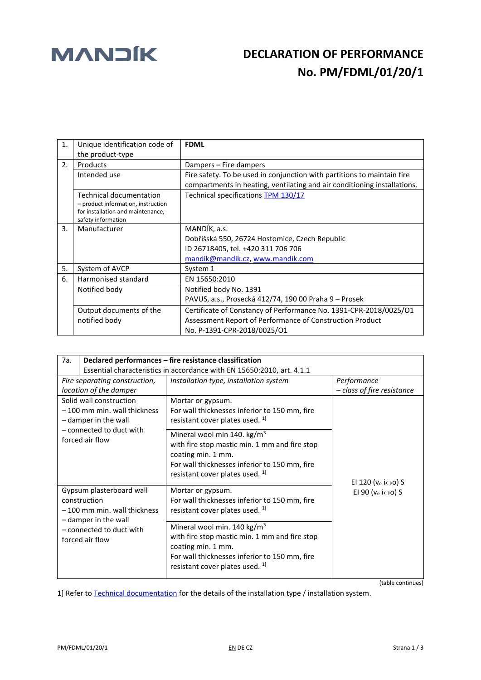## **MANDIK** DECLARATION OF PERFORMANCE  **No. PM/FDML/01/20/1**

| $\mathbf{1}$ .                                                                                                                  | Unique identification code of<br>the product-type | <b>FDML</b>                                                                                                                                                  |  |
|---------------------------------------------------------------------------------------------------------------------------------|---------------------------------------------------|--------------------------------------------------------------------------------------------------------------------------------------------------------------|--|
| $\mathfrak{D}$ .                                                                                                                | Products                                          | Dampers - Fire dampers                                                                                                                                       |  |
|                                                                                                                                 | Intended use                                      | Fire safety. To be used in conjunction with partitions to maintain fire<br>compartments in heating, ventilating and air conditioning installations.          |  |
| <b>Technical documentation</b><br>- product information, instruction<br>for installation and maintenance,<br>safety information |                                                   | Technical specifications TPM 130/17                                                                                                                          |  |
| 3.                                                                                                                              | Manufacturer                                      | MANDÍK, a.s.<br>Dobříšská 550, 26724 Hostomice, Czech Republic<br>ID 26718405, tel. +420 311 706 706<br>mandik@mandik.cz, www.mandik.com                     |  |
| 5.                                                                                                                              | System of AVCP                                    | System 1                                                                                                                                                     |  |
| 6.<br>Harmonised standard<br>EN 15650:2010<br>Notified body No. 1391<br>Notified body                                           |                                                   |                                                                                                                                                              |  |
|                                                                                                                                 |                                                   |                                                                                                                                                              |  |
|                                                                                                                                 |                                                   | PAVUS, a.s., Prosecká 412/74, 190 00 Praha 9 – Prosek                                                                                                        |  |
|                                                                                                                                 | Output documents of the<br>notified body          | Certificate of Constancy of Performance No. 1391-CPR-2018/0025/O1<br>Assessment Report of Performance of Construction Product<br>No. P-1391-CPR-2018/0025/O1 |  |

| 7a.                                                                                                                                                                                                                                | Declared performances – fire resistance classification                 |                                                                                                                                                                                                               |                                                                                   |  |
|------------------------------------------------------------------------------------------------------------------------------------------------------------------------------------------------------------------------------------|------------------------------------------------------------------------|---------------------------------------------------------------------------------------------------------------------------------------------------------------------------------------------------------------|-----------------------------------------------------------------------------------|--|
|                                                                                                                                                                                                                                    | Essential characteristics in accordance with EN 15650:2010, art. 4.1.1 |                                                                                                                                                                                                               |                                                                                   |  |
| Fire separating construction,                                                                                                                                                                                                      |                                                                        | Installation type, installation system                                                                                                                                                                        | Performance                                                                       |  |
| location of the damper                                                                                                                                                                                                             |                                                                        |                                                                                                                                                                                                               | - class of fire resistance                                                        |  |
| Solid wall construction<br>- 100 mm min. wall thickness<br>- damper in the wall<br>- connected to duct with<br>forced air flow<br>Gypsum plasterboard wall<br>construction<br>- 100 mm min. wall thickness<br>- damper in the wall |                                                                        | Mortar or gypsum.<br>For wall thicknesses inferior to 150 mm, fire<br>resistant cover plates used. <sup>1]</sup>                                                                                              | EI 120 ( $v_e$ i $\leftrightarrow$ o) S<br>El 90 ( $v_e$ i $\leftrightarrow$ o) S |  |
|                                                                                                                                                                                                                                    |                                                                        | Mineral wool min 140. $\text{kg/m}^3$<br>with fire stop mastic min. 1 mm and fire stop<br>coating min. 1 mm.<br>For wall thicknesses inferior to 150 mm, fire<br>resistant cover plates used. <sup>1]</sup>   |                                                                                   |  |
|                                                                                                                                                                                                                                    |                                                                        | Mortar or gypsum.<br>For wall thicknesses inferior to 150 mm, fire<br>resistant cover plates used. <sup>1]</sup>                                                                                              |                                                                                   |  |
|                                                                                                                                                                                                                                    | - connected to duct with<br>forced air flow                            | Mineral wool min. 140 kg/m <sup>3</sup><br>with fire stop mastic min. 1 mm and fire stop<br>coating min. 1 mm.<br>For wall thicknesses inferior to 150 mm, fire<br>resistant cover plates used. <sup>1]</sup> |                                                                                   |  |

(table continues)

1] Refer to [Technical documentation](http://www.mandik.cz/getattachment/c746988d-1df7-4ae0-8b01-8e6aebe009d0/130_17_en_FDML.aspx) for the details of the installation type / installation system.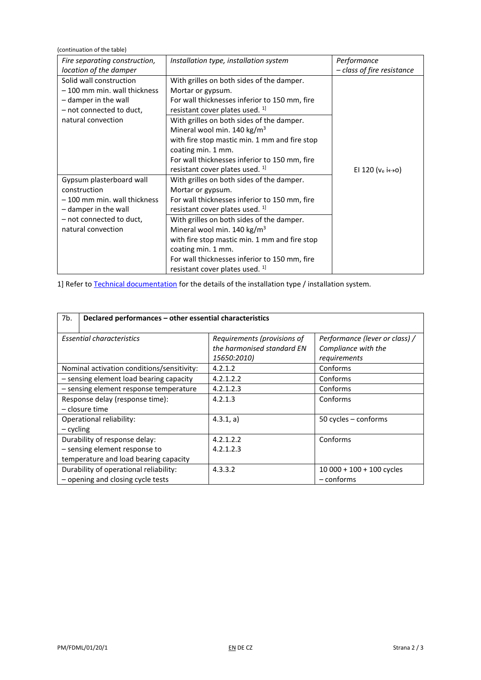(continuation of the table) *Fire separating construction, location of the damper Installation type, installation system Performance – class of fire resistance* Solid wall construction – 100 mm min. wall thickness – damper in the wall – not connected to duct, natural convection With grilles on both sides of the damper. Mortar or gypsum. For wall thicknesses inferior to 150 mm, fire resistant cover plates used. <sup>1]</sup> EI 120 ( $v_e$  i $\leftrightarrow$ o) With grilles on both sides of the damper. Mineral wool min. 140 kg/m<sup>3</sup> with fire stop mastic min. 1 mm and fire stop coating min. 1 mm. For wall thicknesses inferior to 150 mm, fire resistant cover plates used. <sup>1]</sup> Gypsum plasterboard wall construction – 100 mm min. wall thickness – damper in the wall – not connected to duct, natural convection With grilles on both sides of the damper. Mortar or gypsum. For wall thicknesses inferior to 150 mm, fire resistant cover plates used.<sup>1]</sup> With grilles on both sides of the damper. Mineral wool min. 140 kg/m<sup>3</sup> with fire stop mastic min. 1 mm and fire stop coating min. 1 mm. For wall thicknesses inferior to 150 mm, fire resistant cover plates used. <sup>1]</sup>

1] Refer to [Technical documentation](http://www.mandik.cz/getattachment/c746988d-1df7-4ae0-8b01-8e6aebe009d0/130_17_en_FDML.aspx) for the details of the installation type / installation system.

| 7b.                                                                         | Declared performances - other essential characteristics                  |                                                                       |  |  |  |
|-----------------------------------------------------------------------------|--------------------------------------------------------------------------|-----------------------------------------------------------------------|--|--|--|
| <b>Essential characteristics</b>                                            | Requirements (provisions of<br>the harmonised standard EN<br>15650:2010) | Performance (lever or class) /<br>Compliance with the<br>requirements |  |  |  |
| Nominal activation conditions/sensitivity:                                  | 4.2.1.2                                                                  | Conforms                                                              |  |  |  |
| - sensing element load bearing capacity                                     | 4.2.1.2.2                                                                | Conforms                                                              |  |  |  |
| - sensing element response temperature                                      | 4.2.1.2.3                                                                | Conforms                                                              |  |  |  |
| Response delay (response time):<br>– closure time                           | 4.2.1.3                                                                  | Conforms                                                              |  |  |  |
| Operational reliability:<br>– cycling                                       | 4.3.1, a)                                                                | 50 cycles - conforms                                                  |  |  |  |
| Durability of response delay:                                               | 4.2.1.2.2                                                                | Conforms                                                              |  |  |  |
| - sensing element response to                                               | 4.2.1.2.3                                                                |                                                                       |  |  |  |
| temperature and load bearing capacity                                       |                                                                          |                                                                       |  |  |  |
| Durability of operational reliability:<br>- opening and closing cycle tests | 4.3.3.2                                                                  | $10000 + 100 + 100$ cycles<br>$-$ conforms                            |  |  |  |